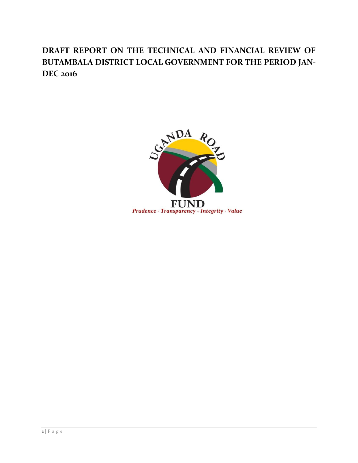# **DRAFT REPORT ON THE TECHNICAL AND FINANCIAL REVIEW OF BUTAMBALA DISTRICT LOCAL GOVERNMENT FOR THE PERIOD JAN-DEC 2016**

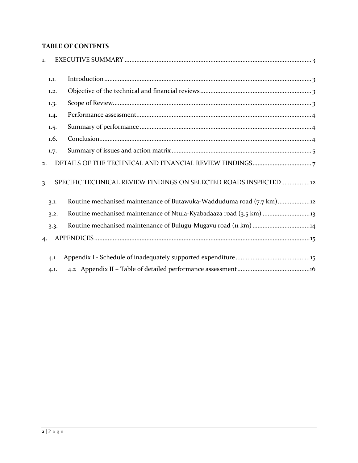## **TABLE OF CONTENTS**

| 1. |      |                                                                    |
|----|------|--------------------------------------------------------------------|
|    | 1.1. |                                                                    |
|    | 1.2. |                                                                    |
|    | 1.3. |                                                                    |
|    | 1.4. |                                                                    |
|    | 1.5. |                                                                    |
|    | 1.6. |                                                                    |
|    | 1.7. |                                                                    |
| 2. |      |                                                                    |
| 3. |      | SPECIFIC TECHNICAL REVIEW FINDINGS ON SELECTED ROADS INSPECTED12   |
|    | 3.1. | Routine mechanised maintenance of Butawuka-Wadduduma road (7.7 km) |
|    | 3.2. |                                                                    |
|    | 3.3. | Routine mechanised maintenance of Bulugu-Mugavu road (11 km) 14    |
| 4. |      |                                                                    |
|    | 4.1  |                                                                    |
|    | 4.1. |                                                                    |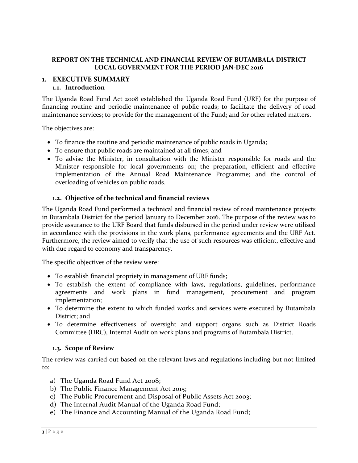## **REPORT ON THE TECHNICAL AND FINANCIAL REVIEW OF BUTAMBALA DISTRICT LOCAL GOVERNMENT FOR THE PERIOD JAN-DEC 2016**

#### <span id="page-2-1"></span><span id="page-2-0"></span>**1. EXECUTIVE SUMMARY 1.1. Introduction**

The Uganda Road Fund Act 2008 established the Uganda Road Fund (URF) for the purpose of financing routine and periodic maintenance of public roads; to facilitate the delivery of road maintenance services; to provide for the management of the Fund; and for other related matters.

The objectives are:

- To finance the routine and periodic maintenance of public roads in Uganda;
- To ensure that public roads are maintained at all times; and
- To advise the Minister, in consultation with the Minister responsible for roads and the Minister responsible for local governments on; the preparation, efficient and effective implementation of the Annual Road Maintenance Programme; and the control of overloading of vehicles on public roads.

#### **1.2. Objective of the technical and financial reviews**

<span id="page-2-2"></span>The Uganda Road Fund performed a technical and financial review of road maintenance projects in Butambala District for the period January to December 2016. The purpose of the review was to provide assurance to the URF Board that funds disbursed in the period under review were utilised in accordance with the provisions in the work plans, performance agreements and the URF Act. Furthermore, the review aimed to verify that the use of such resources was efficient, effective and with due regard to economy and transparency.

The specific objectives of the review were:

- To establish financial propriety in management of URF funds;
- To establish the extent of compliance with laws, regulations, guidelines, performance agreements and work plans in fund management, procurement and program implementation;
- To determine the extent to which funded works and services were executed by Butambala District; and
- To determine effectiveness of oversight and support organs such as District Roads Committee (DRC), Internal Audit on work plans and programs of Butambala District.

#### **1.3. Scope of Review**

<span id="page-2-3"></span>The review was carried out based on the relevant laws and regulations including but not limited to:

- a) The Uganda Road Fund Act 2008;
- b) The Public Finance Management Act 2015;
- c) The Public Procurement and Disposal of Public Assets Act 2003;
- d) The Internal Audit Manual of the Uganda Road Fund;
- e) The Finance and Accounting Manual of the Uganda Road Fund;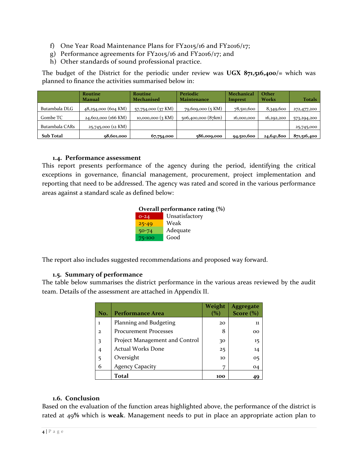- f) One Year Road Maintenance Plans for FY2015/16 and FY2016/17;
- g) Performance agreements for FY2015/16 and FY2016/17; and
- h) Other standards of sound professional practice.

The budget of the District for the periodic under review was **UGX 871,516,400/=** which was planned to finance the activities summarised below in:

|                  | Routine             | <b>Routine</b>      | Periodic           | <b>Mechanical</b> | Other        |               |
|------------------|---------------------|---------------------|--------------------|-------------------|--------------|---------------|
|                  | Manual              | <b>Mechanised</b>   | Maintenance        | Imprest           | <b>Works</b> | <b>Totals</b> |
| Butambala DLG    | 48,254,000 (604 KM) | 57,754,000 (37 KM)  | 79,609,000 (5 KM)  | 78,510,600        | 8,349,600    | 272,477,200   |
| Gombe TC         | 24,602,000 (166 KM) | 10,000,000 $(3 KM)$ | 506,400,000 (87km) | 16,000,000        | 16,292,200   | 573,294,200   |
| Butambala CARs   | 25,745,000 (12 KM)  |                     |                    |                   |              | 25,745,000    |
| <b>Sub Total</b> | 98,601,000          | 67,754,000          | 586,009,000        | 94,510,600        | 24,641,800   | 871,516,400   |

#### **1.4. Performance assessment**

<span id="page-3-0"></span>This report presents performance of the agency during the period, identifying the critical exceptions in governance, financial management, procurement, project implementation and reporting that need to be addressed. The agency was rated and scored in the various performance areas against a standard scale as defined below:

| Overall performance rating (%) |                |  |  |  |
|--------------------------------|----------------|--|--|--|
| $0 - 24$                       | Unsatisfactory |  |  |  |
| $25 - 49$                      | Weak           |  |  |  |
| $50 - 74$                      | Adequate       |  |  |  |
| 75-100                         | Good           |  |  |  |

The report also includes suggested recommendations and proposed way forward.

#### **1.5. Summary of performance**

<span id="page-3-1"></span>The table below summarises the district performance in the various areas reviewed by the audit team. Details of the assessment are attached in Appendix II.

| No.            | <b>Performance Area</b>        | Weight<br>$\%$ | <b>Aggregate</b><br>Score $(\%)$ |
|----------------|--------------------------------|----------------|----------------------------------|
| ı              | Planning and Budgeting         | 20             | 11                               |
| $\mathcal{D}$  | <b>Procurement Processes</b>   | 8              | oο                               |
| 3              | Project Management and Control | 30             | $15 \,$                          |
| $\overline{4}$ | <b>Actual Works Done</b>       | 25             | 14                               |
| 5              | Oversight                      | 10             | 05                               |
| 6              | <b>Agency Capacity</b>         | 7              | 04                               |
|                | Total                          | 100            |                                  |

#### **1.6. Conclusion**

<span id="page-3-2"></span>Based on the evaluation of the function areas highlighted above, the performance of the district is rated at 49**%** which is **weak**. Management needs to put in place an appropriate action plan to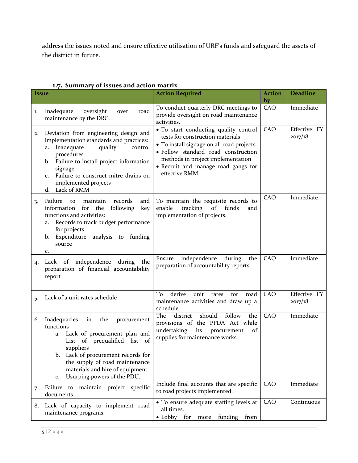address the issues noted and ensure effective utilisation of URF's funds and safeguard the assets of the district in future.

| <i><u><b>Issue</b></u></i> | 50<br>of issues and action matrix                                                                                                                                                                                                                                                              | <b>Action Required</b>                                                                                                                                                                                                                                     | <b>Action</b> | <b>Deadline</b>         |
|----------------------------|------------------------------------------------------------------------------------------------------------------------------------------------------------------------------------------------------------------------------------------------------------------------------------------------|------------------------------------------------------------------------------------------------------------------------------------------------------------------------------------------------------------------------------------------------------------|---------------|-------------------------|
|                            |                                                                                                                                                                                                                                                                                                |                                                                                                                                                                                                                                                            | by            |                         |
| 1.                         | Inadequate<br>oversight<br>road<br>over<br>maintenance by the DRC.                                                                                                                                                                                                                             | To conduct quarterly DRC meetings to<br>provide oversight on road maintenance<br>activities.                                                                                                                                                               | CAO           | Immediate               |
| 2.                         | Deviation from engineering design and<br>implementation standards and practices:<br>Inadequate<br>quality<br>control<br>a.<br>procedures<br>Failure to install project information<br>b.<br>signage<br>Failure to construct mitre drains on<br>C.<br>implemented projects<br>Lack of RMM<br>d. | · To start conducting quality control<br>tests for construction materials<br>• To install signage on all road projects<br>· Follow standard road construction<br>methods in project implementation<br>• Recruit and manage road gangs for<br>effective RMM | CAO           | Effective FY<br>2017/18 |
| $\overline{3}$             | Failure<br>maintain<br>records<br>and<br>to<br>the<br>following<br>information<br>for<br>key<br>functions and activities:<br>Records to track budget performance<br>a.<br>for projects<br>Expenditure<br>analysis to funding<br>b.<br>source<br>c.                                             | To maintain the requisite records to<br>enable<br>tracking<br>of<br>funds<br>and<br>implementation of projects.                                                                                                                                            | CAO           | Immediate               |
| 4.                         | Lack of independence during<br>the<br>preparation of financial accountability<br>report                                                                                                                                                                                                        | independence<br>Ensure<br>during<br>the<br>preparation of accountability reports.                                                                                                                                                                          | CAO           | Immediate               |
| 5.                         | Lack of a unit rates schedule                                                                                                                                                                                                                                                                  | derive<br>for<br>To<br>unit<br>rates<br>road<br>maintenance activities and draw up a<br>schedule                                                                                                                                                           | CAO           | Effective FY<br>2017/18 |
| 6.                         | Inadequacies<br>the<br>in<br>procurement<br>functions<br>Lack of procurement plan and<br>a.<br>List of prequalified list of<br>suppliers<br>Lack of procurement records for<br>b.<br>the supply of road maintenance<br>materials and hire of equipment<br>Usurping powers of the PDU.<br>c.    | The<br>district<br>should<br>follow<br>the<br>provisions of the PPDA Act while<br>undertaking<br>its<br>of<br>procurement<br>supplies for maintenance works.                                                                                               | CAO           | Immediate               |
| 7.                         | maintain project specific<br>Failure to<br>documents                                                                                                                                                                                                                                           | Include final accounts that are specific<br>to road projects implemented.                                                                                                                                                                                  | CAO           | Immediate               |
|                            | 8. Lack of capacity to implement road<br>maintenance programs                                                                                                                                                                                                                                  | • To ensure adequate staffing levels at<br>all times.<br>• Lobby for<br>funding from<br>more                                                                                                                                                               | CAO           | Continuous              |

## <span id="page-4-0"></span>**1.7. Summary of issues and action matrix**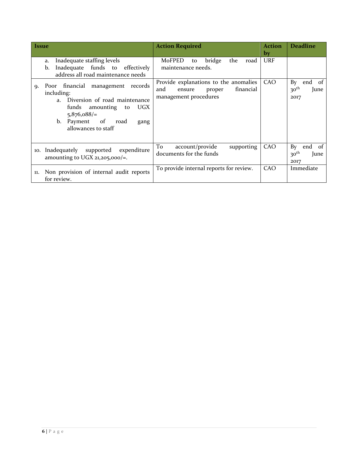| <b>Issue</b>                                                                                                                                                                             |                           | <b>Action Required</b>                                                          |                 |        |            |           | Action<br>by | <b>Deadline</b>                                                |
|------------------------------------------------------------------------------------------------------------------------------------------------------------------------------------------|---------------------------|---------------------------------------------------------------------------------|-----------------|--------|------------|-----------|--------------|----------------------------------------------------------------|
| Inadequate staffing levels<br>a.<br>Inadequate funds to effectively<br>b.<br>address all road maintenance needs                                                                          |                           | MoFPED<br>maintenance needs.                                                    | to              | bridge | the        | road      | <b>URF</b>   |                                                                |
| Poor financial management records<br><b>Q.</b><br>including:<br>Diversion of road maintenance<br>$a_{\perp}$<br>funds amounting<br>$5,876,088/=$<br>b. Payment of<br>allowances to staff | UGX<br>to<br>road<br>gang | Provide explanations to the anomalies<br>and<br>ensure<br>management procedures |                 | proper |            | financial | CAO          | By<br>end<br>0t<br>30 <sup>th</sup><br>June<br>2017            |
| Inadequately<br>supported<br>10.<br>amounting to UGX 21,205,000/=.                                                                                                                       | expenditure               | To<br>documents for the funds                                                   | account/provide |        | supporting |           | CAO          | By<br>end<br><sub>of</sub><br>30 <sup>th</sup><br>June<br>2017 |
| Non provision of internal audit reports<br>11.<br>for review.                                                                                                                            |                           | To provide internal reports for review.                                         |                 |        |            |           | CAO          | Immediate                                                      |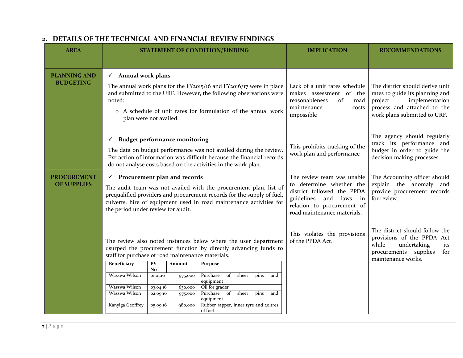<span id="page-6-0"></span>

| <b>AREA</b>                                                                                                                                                                             |                                                                                                                                                                                                                                                                                                       |                      |                                                  | <b>STATEMENT OF CONDITION/FINDING</b>                                                                                                                                                                        | <b>IMPLICATION</b>                                                                                                                                                                   | <b>RECOMMENDATIONS</b>                                                                                                                                         |
|-----------------------------------------------------------------------------------------------------------------------------------------------------------------------------------------|-------------------------------------------------------------------------------------------------------------------------------------------------------------------------------------------------------------------------------------------------------------------------------------------------------|----------------------|--------------------------------------------------|--------------------------------------------------------------------------------------------------------------------------------------------------------------------------------------------------------------|--------------------------------------------------------------------------------------------------------------------------------------------------------------------------------------|----------------------------------------------------------------------------------------------------------------------------------------------------------------|
| <b>PLANNING AND</b><br><b>BUDGETING</b>                                                                                                                                                 | $\checkmark$ Annual work plans<br>The annual work plans for the FY2015/16 and FY2016/17 were in place<br>and submitted to the URF. However, the following observations were<br>noted:<br>o A schedule of unit rates for formulation of the annual work<br>plan were not availed.                      |                      |                                                  |                                                                                                                                                                                                              | Lack of a unit rates schedule<br>makes assessment of the<br>of<br>reasonableness<br>road<br>maintenance<br>costs<br>impossible                                                       | The district should derive unit<br>rates to guide its planning and<br>implementation<br>project<br>process and attached to the<br>work plans submitted to URF. |
|                                                                                                                                                                                         | <b>Budget performance monitoring</b><br>✓                                                                                                                                                                                                                                                             |                      |                                                  | The data on budget performance was not availed during the review.<br>Extraction of information was difficult because the financial records<br>do not analyse costs based on the activities in the work plan. | This prohibits tracking of the<br>work plan and performance                                                                                                                          | The agency should regularly<br>track its performance and<br>budget in order to guide the<br>decision making processes.                                         |
| <b>PROCUREMENT</b><br><b>OF SUPPLIES</b>                                                                                                                                                | $\checkmark$ Procurement plan and records<br>The audit team was not availed with the procurement plan, list of<br>prequalified providers and procurement records for the supply of fuel,<br>culverts, hire of equipment used in road maintenance activities for<br>the period under review for audit. |                      |                                                  |                                                                                                                                                                                                              | The review team was unable<br>to determine whether the<br>district followed the PPDA<br>guidelines<br>and<br>laws<br>in<br>relation to procurement of<br>road maintenance materials. | The Accounting officer should<br>explain the anomaly and<br>provide procurement records<br>for review.                                                         |
| The review also noted instances below where the user department<br>usurped the procurement function by directly advancing funds to<br>staff for purchase of road maintenance materials. |                                                                                                                                                                                                                                                                                                       |                      | This violates the provisions<br>of the PPDA Act. | The district should follow the<br>provisions of the PPDA Act<br>while<br>undertaking<br>its<br>procurements supplies<br>for<br>maintenance works.                                                            |                                                                                                                                                                                      |                                                                                                                                                                |
|                                                                                                                                                                                         | Beneficiary                                                                                                                                                                                                                                                                                           | PV<br>N <sub>o</sub> | Amount                                           | Purpose                                                                                                                                                                                                      |                                                                                                                                                                                      |                                                                                                                                                                |
|                                                                                                                                                                                         | Wasswa Wilson                                                                                                                                                                                                                                                                                         | 01.01.16             | 975,000                                          | Purchase<br>of<br>sheer<br>pins<br>and<br>equipment                                                                                                                                                          |                                                                                                                                                                                      |                                                                                                                                                                |
|                                                                                                                                                                                         | Wasswa Wilson<br>Wasswa Wilson                                                                                                                                                                                                                                                                        | 03.04.16<br>02.09.16 | 630,000<br>975,000                               | Oil for grader<br>$\sigma$<br>sheer<br>Purchase<br>pins<br>and                                                                                                                                               |                                                                                                                                                                                      |                                                                                                                                                                |
|                                                                                                                                                                                         | Kanyiga Geoffrey                                                                                                                                                                                                                                                                                      | 05.09.16             | 980,000                                          | equipment<br>Rubber rapper, inner tyre and 20ltres<br>of fuel                                                                                                                                                |                                                                                                                                                                                      |                                                                                                                                                                |

## **2. DETAILS OF THE TECHNICAL AND FINANCIAL REVIEW FINDINGS**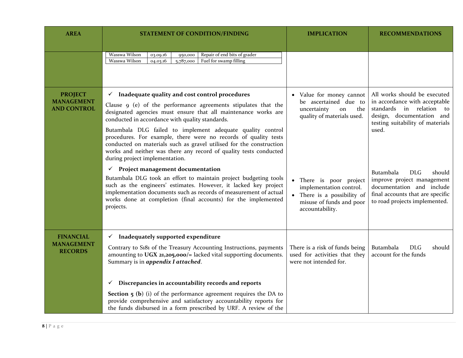| <b>AREA</b>                                               | <b>STATEMENT OF CONDITION/FINDING</b>                                                                                                                                                                                                                                                                                                                                                                                                                                                                                                                             | <b>IMPLICATION</b>                                                                                                           | <b>RECOMMENDATIONS</b>                                                                                                                                              |
|-----------------------------------------------------------|-------------------------------------------------------------------------------------------------------------------------------------------------------------------------------------------------------------------------------------------------------------------------------------------------------------------------------------------------------------------------------------------------------------------------------------------------------------------------------------------------------------------------------------------------------------------|------------------------------------------------------------------------------------------------------------------------------|---------------------------------------------------------------------------------------------------------------------------------------------------------------------|
|                                                           | Wasswa Wilson<br>Repair of end bits of grader<br>03.09.16<br>950,000<br>Fuel for swamp filling<br>Wasswa Wilson<br>5,787,000<br>04.03.16                                                                                                                                                                                                                                                                                                                                                                                                                          |                                                                                                                              |                                                                                                                                                                     |
| <b>PROJECT</b><br><b>MANAGEMENT</b><br><b>AND CONTROL</b> | $\checkmark$ Inadequate quality and cost control procedures<br>Clause 9 (e) of the performance agreements stipulates that the<br>designated agencies must ensure that all maintenance works are<br>conducted in accordance with quality standards.<br>Butambala DLG failed to implement adequate quality control<br>procedures. For example, there were no records of quality tests<br>conducted on materials such as gravel utilised for the construction<br>works and neither was there any record of quality tests conducted<br>during project implementation. | • Value for money cannot<br>be ascertained due to<br>uncertainty<br>the<br>on<br>quality of materials used.                  | All works should be executed<br>in accordance with acceptable<br>standards in relation to<br>design, documentation and<br>testing suitability of materials<br>used. |
|                                                           | Project management documentation<br>$\checkmark$<br>Butambala DLG took an effort to maintain project budgeting tools<br>such as the engineers' estimates. However, it lacked key project<br>implementation documents such as records of measurement of actual<br>works done at completion (final accounts) for the implemented<br>projects.                                                                                                                                                                                                                       | There is poor project<br>implementation control.<br>There is a possibility of<br>misuse of funds and poor<br>accountability. | <b>DLG</b><br>Butambala<br>should<br>improve project management<br>documentation and include<br>final accounts that are specific<br>to road projects implemented.   |
| <b>FINANCIAL</b><br><b>MANAGEMENT</b><br><b>RECORDS</b>   | Inadequately supported expenditure<br>$\checkmark$<br>Contrary to S181 of the Treasury Accounting Instructions, payments<br>amounting to UGX 21,205,000/= lacked vital supporting documents.<br>Summary is in <i>appendix I attached</i> .<br>Discrepancies in accountability records and reports<br>✓                                                                                                                                                                                                                                                            | There is a risk of funds being<br>used for activities that they<br>were not intended for.                                    | <b>DLG</b><br>Butambala<br>should<br>account for the funds                                                                                                          |
|                                                           | <b>Section 5 (b)</b> (i) of the performance agreement requires the DA to<br>provide comprehensive and satisfactory accountability reports for<br>the funds disbursed in a form prescribed by URF. A review of the                                                                                                                                                                                                                                                                                                                                                 |                                                                                                                              |                                                                                                                                                                     |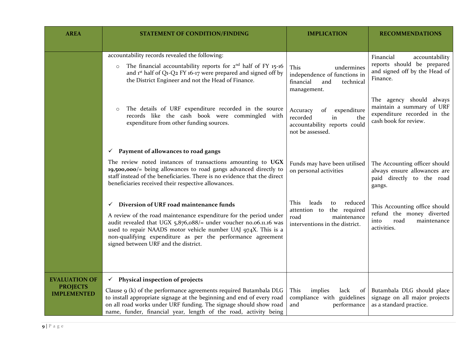| <b>AREA</b>                           | <b>STATEMENT OF CONDITION/FINDING</b>                                                                                                                                                                                                                                                                                                                             | <b>IMPLICATION</b>                                                                                                      | <b>RECOMMENDATIONS</b>                                                                                        |
|---------------------------------------|-------------------------------------------------------------------------------------------------------------------------------------------------------------------------------------------------------------------------------------------------------------------------------------------------------------------------------------------------------------------|-------------------------------------------------------------------------------------------------------------------------|---------------------------------------------------------------------------------------------------------------|
|                                       |                                                                                                                                                                                                                                                                                                                                                                   |                                                                                                                         |                                                                                                               |
|                                       | accountability records revealed the following:<br>The financial accountability reports for $2^{nd}$ half of FY 15-16<br>$\circ$<br>and 1st half of Q1-Q2 FY 16-17 were prepared and signed off by<br>the District Engineer and not the Head of Finance.                                                                                                           | This<br>undermines<br>independence of functions in<br>financial<br>and<br>technical<br>management.                      | Financial<br>accountability<br>reports should be prepared<br>and signed off by the Head of<br>Finance.        |
|                                       | The details of URF expenditure recorded in the source<br>$\circ$<br>records like the cash book were commingled with<br>expenditure from other funding sources.                                                                                                                                                                                                    | Accuracy<br>expenditure<br>of<br>recorded<br>in<br>the<br>accountability reports could<br>not be assessed.              | The agency should always<br>maintain a summary of URF<br>expenditure recorded in the<br>cash book for review. |
|                                       | Payment of allowances to road gangs<br>$\checkmark$                                                                                                                                                                                                                                                                                                               |                                                                                                                         |                                                                                                               |
|                                       | The review noted instances of transactions amounting to UGX<br>19,500,000/= being allowances to road gangs advanced directly to<br>staff instead of the beneficiaries. There is no evidence that the direct<br>beneficiaries received their respective allowances.                                                                                                | Funds may have been utilised<br>on personal activities                                                                  | The Accounting officer should<br>always ensure allowances are<br>paid directly to the road<br>gangs.          |
|                                       | Diversion of URF road maintenance funds<br>✓<br>A review of the road maintenance expenditure for the period under<br>audit revealed that UGX $5,876,088/$ = under voucher no.06.11.16 was<br>used to repair NAADS motor vehicle number UAJ 974X. This is a<br>non-qualifying expenditure as per the performance agreement<br>signed between URF and the district. | This<br>leads<br>reduced<br>to<br>the required<br>attention to<br>road<br>maintenance<br>interventions in the district. | This Accounting office should<br>refund the money diverted<br>road<br>maintenance<br>into<br>activities.      |
| <b>EVALUATION OF</b>                  | $\checkmark$ Physical inspection of projects                                                                                                                                                                                                                                                                                                                      |                                                                                                                         |                                                                                                               |
| <b>PROJECTS</b><br><b>IMPLEMENTED</b> | Clause 9 (k) of the performance agreements required Butambala DLG<br>to install appropriate signage at the beginning and end of every road<br>on all road works under URF funding. The signage should show road<br>name, funder, financial year, length of the road, activity being                                                                               | This<br>implies<br>lack<br>of<br>compliance with guidelines<br>and<br>performance                                       | Butambala DLG should place<br>signage on all major projects<br>as a standard practice.                        |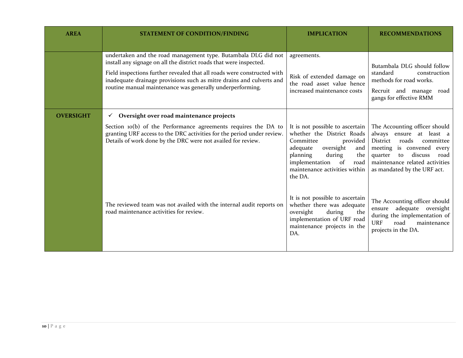| <b>AREA</b>      | <b>STATEMENT OF CONDITION/FINDING</b>                                                                                                                                                                                                                                                                                                                | <b>IMPLICATION</b>                                                                                                                                                                                                              | <b>RECOMMENDATIONS</b>                                                                                                                                                                                                     |
|------------------|------------------------------------------------------------------------------------------------------------------------------------------------------------------------------------------------------------------------------------------------------------------------------------------------------------------------------------------------------|---------------------------------------------------------------------------------------------------------------------------------------------------------------------------------------------------------------------------------|----------------------------------------------------------------------------------------------------------------------------------------------------------------------------------------------------------------------------|
|                  | undertaken and the road management type. Butambala DLG did not<br>install any signage on all the district roads that were inspected.<br>Field inspections further revealed that all roads were constructed with<br>inadequate drainage provisions such as mitre drains and culverts and<br>routine manual maintenance was generally underperforming. | agreements.<br>Risk of extended damage on<br>the road asset value hence<br>increased maintenance costs                                                                                                                          | Butambala DLG should follow<br>standard<br>construction<br>methods for road works.<br>Recruit and manage road<br>gangs for effective RMM                                                                                   |
| <b>OVERSIGHT</b> | Oversight over road maintenance projects<br>$\checkmark$<br>Section 10(b) of the Performance agreements requires the DA to<br>granting URF access to the DRC activities for the period under review.<br>Details of work done by the DRC were not availed for review.                                                                                 | It is not possible to ascertain<br>whether the District Roads<br>Committee<br>provided<br>adequate<br>oversight<br>and<br>planning<br>during<br>the<br>implementation<br>of<br>road<br>maintenance activities within<br>the DA. | The Accounting officer should<br>always ensure at least a<br>roads<br>District<br>committee<br>meeting is convened<br>every<br>quarter to discuss<br>road<br>maintenance related activities<br>as mandated by the URF act. |
|                  | The reviewed team was not availed with the internal audit reports on<br>road maintenance activities for review.                                                                                                                                                                                                                                      | It is not possible to ascertain<br>whether there was adequate<br>oversight<br>during<br>the<br>implementation of URF road<br>maintenance projects in the<br>DA.                                                                 | The Accounting officer should<br>adequate oversight<br>ensure<br>during the implementation of<br><b>URF</b><br>road<br>maintenance<br>projects in the DA.                                                                  |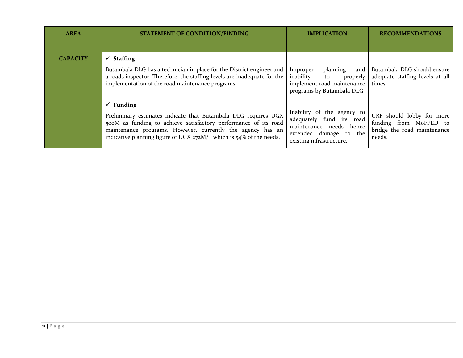| <b>AREA</b>     | <b>STATEMENT OF CONDITION/FINDING</b>                                                                                                                                                                                                                                                             | <b>IMPLICATION</b>                                                                                                                      | <b>RECOMMENDATIONS</b>                                                                       |
|-----------------|---------------------------------------------------------------------------------------------------------------------------------------------------------------------------------------------------------------------------------------------------------------------------------------------------|-----------------------------------------------------------------------------------------------------------------------------------------|----------------------------------------------------------------------------------------------|
| <b>CAPACITY</b> | $\checkmark$ Staffing<br>Butambala DLG has a technician in place for the District engineer and<br>a roads inspector. Therefore, the staffing levels are inadequate for the<br>implementation of the road maintenance programs.                                                                    | Improper<br>planning<br>and<br>inability<br>to<br>properly<br>implement road maintenance<br>programs by Butambala DLG                   | Butambala DLG should ensure<br>adequate staffing levels at all<br>times.                     |
|                 | $\checkmark$ Funding<br>Preliminary estimates indicate that Butambala DLG requires UGX<br>500M as funding to achieve satisfactory performance of its road<br>maintenance programs. However, currently the agency has an<br>indicative planning figure of UGX $272M$ /= which is 54% of the needs. | Inability of the agency to<br>adequately fund its road<br>maintenance needs hence<br>extended damage to the<br>existing infrastructure. | URF should lobby for more<br>funding from MoFPED to<br>bridge the road maintenance<br>needs. |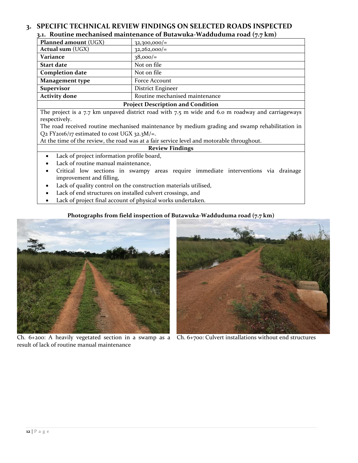#### <span id="page-11-1"></span><span id="page-11-0"></span>**3. SPECIFIC TECHNICAL REVIEW FINDINGS ON SELECTED ROADS INSPECTED 3.1. Routine mechanised maintenance of Butawuka-Wadduduma road (7.7 km)**

|                                          | $\cdot$ . .                    |  |
|------------------------------------------|--------------------------------|--|
| Planned amount (UGX)                     | $32,300,000/=$                 |  |
| <b>Actual sum (UGX)</b>                  | $32,262,000/=$                 |  |
| Variance                                 | $38,000/=$                     |  |
| <b>Start date</b>                        | Not on file                    |  |
| <b>Completion date</b>                   | Not on file                    |  |
| <b>Management type</b>                   | Force Account                  |  |
| <b>Supervisor</b>                        | District Engineer              |  |
| <b>Activity done</b>                     | Routine mechanised maintenance |  |
| <b>Project Description and Condition</b> |                                |  |

The project is a 7.7 km unpaved district road with 7.5 m wide and 6.0 m roadway and carriageways respectively.

The road received routine mechanised maintenance by medium grading and swamp rehabilitation in Q2 FY2016/17 estimated to cost UGX 32.3M/=.

At the time of the review, the road was at a fair service level and motorable throughout.

#### **Review Findings**

- Lack of project information profile board,
- Lack of routine manual maintenance,
- Critical low sections in swampy areas require immediate interventions via drainage improvement and filling,
- Lack of quality control on the construction materials utilised,
- Lack of end structures on installed culvert crossings, and
- Lack of project final account of physical works undertaken.

#### **Photographs from field inspection of Butawuka-Wadduduma road (7.7 km)**



Ch. 6+200: A heavily vegetated section in a swamp as a Ch. 6+700: Culvert installations without end structuresresult of lack of routine manual maintenance

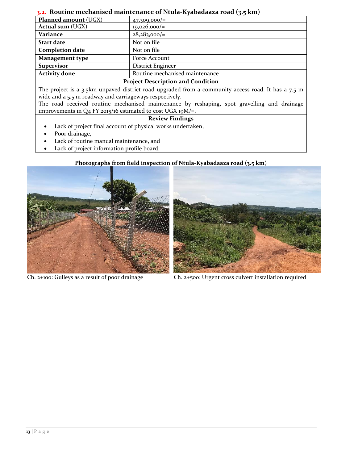## **3.2. Routine mechanised maintenance of Ntula-Kyabadaaza road (3.5 km)**

<span id="page-12-0"></span>

| , and the meeting mean manneriance of Nulla-Kyabauaaza Toau (3.5 Km),                                |                                |  |  |  |  |  |
|------------------------------------------------------------------------------------------------------|--------------------------------|--|--|--|--|--|
| <b>Planned amount (UGX)</b>                                                                          | $47,309,000/=$                 |  |  |  |  |  |
| <b>Actual sum (UGX)</b>                                                                              | $19,026,000/$ =                |  |  |  |  |  |
| Variance                                                                                             | $28,283,000/=$                 |  |  |  |  |  |
| <b>Start date</b>                                                                                    | Not on file                    |  |  |  |  |  |
| <b>Completion date</b>                                                                               | Not on file                    |  |  |  |  |  |
| <b>Management type</b>                                                                               | Force Account                  |  |  |  |  |  |
| <b>Supervisor</b>                                                                                    | District Engineer              |  |  |  |  |  |
| <b>Activity done</b>                                                                                 | Routine mechanised maintenance |  |  |  |  |  |
| <b>Project Description and Condition</b>                                                             |                                |  |  |  |  |  |
| The project is a 3.5km unpaved district road upgraded from a community access road. It has a $7.5$ m |                                |  |  |  |  |  |
| wide and a 5.5 m roadway and carriageways respectively.                                              |                                |  |  |  |  |  |
| The road received routine mechanised maintenance by reshaping, spot gravelling and drainage          |                                |  |  |  |  |  |
| improvements in $Q_4$ FY 2015/16 estimated to cost UGX 19M/=.                                        |                                |  |  |  |  |  |
| <b>Review Findings</b>                                                                               |                                |  |  |  |  |  |

- Lack of project final account of physical works undertaken,
- Poor drainage,
- Lack of routine manual maintenance, and
- Lack of project information profile board.

## **Photographs from field inspection of Ntula-Kyabadaaza road (3.5 km)**





Ch. 2+100: Gulleys as a result of poor drainage Ch. 2+500: Urgent cross culvert installation required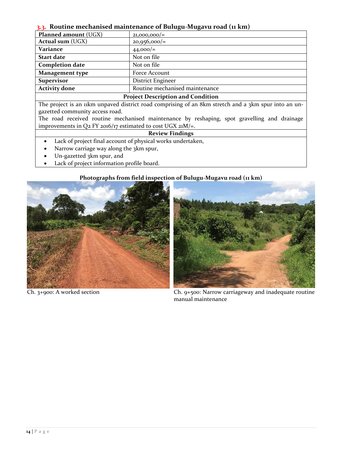#### <span id="page-13-0"></span>**3.3. Routine mechanised maintenance of Bulugu-Mugavu road (11 km)**

| <b>Planned amount (UGX)</b>                                                                                                                                  | $21,000,000/=$                 |  |  |  |  |  |
|--------------------------------------------------------------------------------------------------------------------------------------------------------------|--------------------------------|--|--|--|--|--|
| <b>Actual sum (UGX)</b>                                                                                                                                      | $20,956,000/$ =                |  |  |  |  |  |
| Variance                                                                                                                                                     | $44,000/$ =                    |  |  |  |  |  |
| <b>Start date</b>                                                                                                                                            | Not on file                    |  |  |  |  |  |
| <b>Completion date</b>                                                                                                                                       | Not on file                    |  |  |  |  |  |
| <b>Management type</b>                                                                                                                                       | Force Account                  |  |  |  |  |  |
| <b>Supervisor</b>                                                                                                                                            | District Engineer              |  |  |  |  |  |
| <b>Activity done</b>                                                                                                                                         | Routine mechanised maintenance |  |  |  |  |  |
| <b>Project Description and Condition</b>                                                                                                                     |                                |  |  |  |  |  |
| $1.1$ that is not allowed that $\mathcal{L}$ is $\Omega$ as a set in and $1$ . This case, this case of<br><b>APILIA ALGENTINE AND INTERNATIONAL PROPERTY</b> |                                |  |  |  |  |  |

The project is an 11km unpaved district road comprising of an 8km stretch and a 3km spur into an ungazetted community access road.

The road received routine mechanised maintenance by reshaping, spot gravelling and drainage improvements in Q2 FY 2016/17 estimated to cost UGX 21M/=.

#### **Review Findings**

- Lack of project final account of physical works undertaken,
- Narrow carriage way along the 3km spur,
- Un-gazetted 3km spur, and
- Lack of project information profile board.

#### **Photographs from field inspection of Bulugu-Mugavu road (11 km)**





Ch. 3+900: A worked section Ch. 9+500: Narrow carriageway and inadequate routine manual maintenance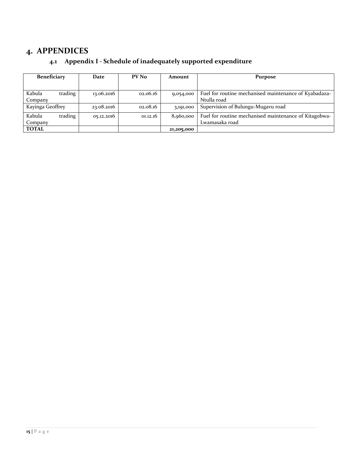## <span id="page-14-1"></span><span id="page-14-0"></span>**4. APPENDICES**

## **4.1 Appendix I - Schedule of inadequately supported expenditure**

| <b>Beneficiary</b> | Date       | PV No    | Amount     | Purpose                                               |
|--------------------|------------|----------|------------|-------------------------------------------------------|
|                    |            |          |            |                                                       |
| Kabula<br>trading  | 13.06.2016 | 02.06.16 | 9,054,000  | Fuel for routine mechanised maintenance of Kyabadaza- |
| Company            |            |          |            | Ntulla road                                           |
| Kayinga Geoffrey   | 23.08.2016 | 02.08.16 | 3,191,000  | Supervision of Bulungu-Mugavu road                    |
| trading<br>Kabula  | 05.12.2016 | 01.12.16 | 8,960,000  | Fuel for routine mechanised maintenance of Kitagobwa- |
| Company            |            |          |            | Lwamasaka road                                        |
| <b>TOTAL</b>       |            |          | 21,205,000 |                                                       |